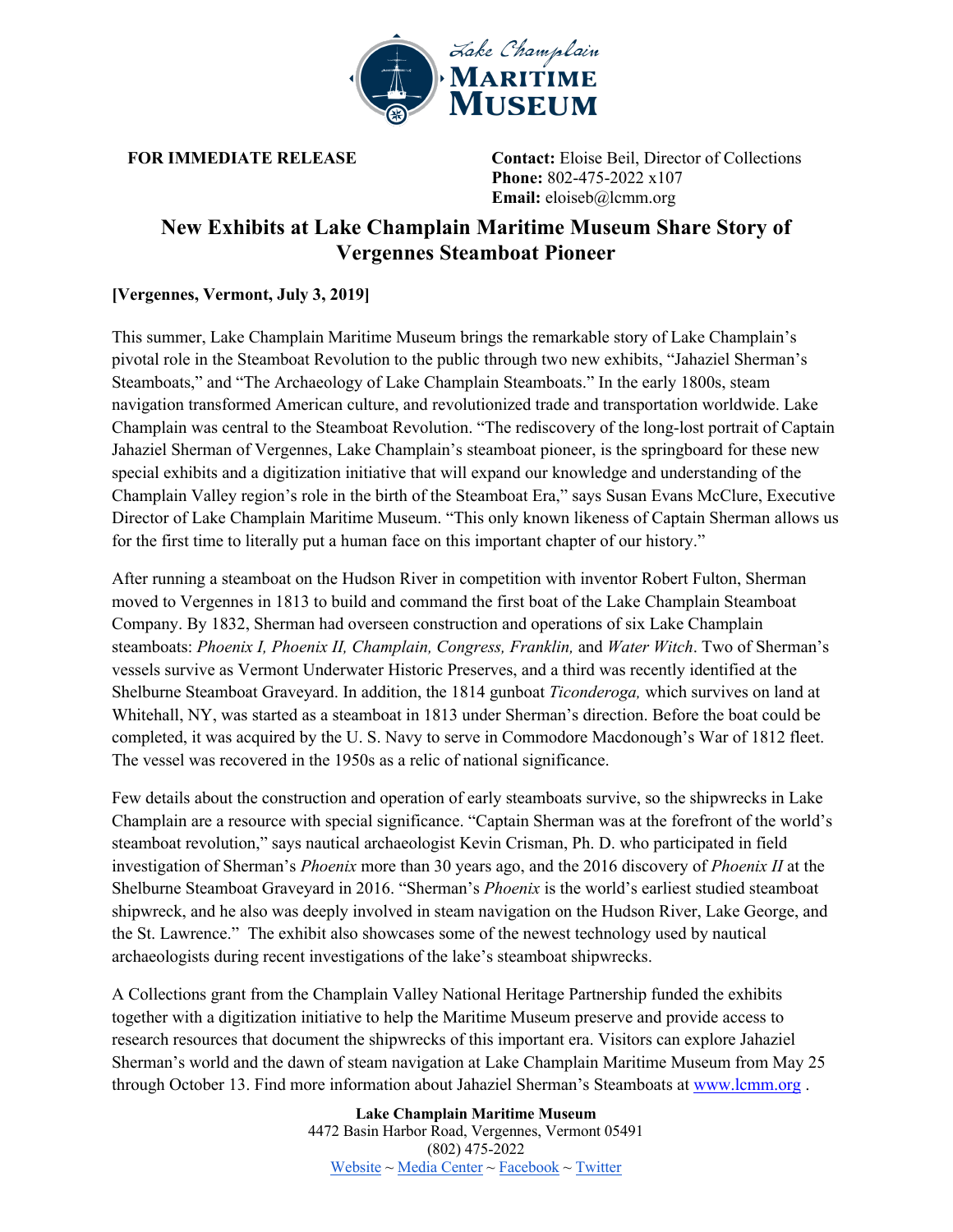

**FOR IMMEDIATE RELEASE Contact:** Eloise Beil, Director of Collections **Phone:** 802-475-2022 x107 **Email:** eloiseb@lcmm.org

# **New Exhibits at Lake Champlain Maritime Museum Share Story of Vergennes Steamboat Pioneer**

# **[Vergennes, Vermont, July 3, 2019]**

This summer, Lake Champlain Maritime Museum brings the remarkable story of Lake Champlain's pivotal role in the Steamboat Revolution to the public through two new exhibits, "Jahaziel Sherman's Steamboats," and "The Archaeology of Lake Champlain Steamboats." In the early 1800s, steam navigation transformed American culture, and revolutionized trade and transportation worldwide. Lake Champlain was central to the Steamboat Revolution. "The rediscovery of the long-lost portrait of Captain Jahaziel Sherman of Vergennes, Lake Champlain's steamboat pioneer, is the springboard for these new special exhibits and a digitization initiative that will expand our knowledge and understanding of the Champlain Valley region's role in the birth of the Steamboat Era," says Susan Evans McClure, Executive Director of Lake Champlain Maritime Museum. "This only known likeness of Captain Sherman allows us for the first time to literally put a human face on this important chapter of our history."

After running a steamboat on the Hudson River in competition with inventor Robert Fulton, Sherman moved to Vergennes in 1813 to build and command the first boat of the Lake Champlain Steamboat Company. By 1832, Sherman had overseen construction and operations of six Lake Champlain steamboats: *Phoenix I, Phoenix II, Champlain, Congress, Franklin,* and *Water Witch*. Two of Sherman's vessels survive as Vermont Underwater Historic Preserves, and a third was recently identified at the Shelburne Steamboat Graveyard. In addition, the 1814 gunboat *Ticonderoga,* which survives on land at Whitehall, NY, was started as a steamboat in 1813 under Sherman's direction. Before the boat could be completed, it was acquired by the U. S. Navy to serve in Commodore Macdonough's War of 1812 fleet. The vessel was recovered in the 1950s as a relic of national significance.

Few details about the construction and operation of early steamboats survive, so the shipwrecks in Lake Champlain are a resource with special significance. "Captain Sherman was at the forefront of the world's steamboat revolution," says nautical archaeologist Kevin Crisman, Ph. D. who participated in field investigation of Sherman's *Phoenix* more than 30 years ago, and the 2016 discovery of *Phoenix II* at the Shelburne Steamboat Graveyard in 2016. "Sherman's *Phoenix* is the world's earliest studied steamboat shipwreck, and he also was deeply involved in steam navigation on the Hudson River, Lake George, and the St. Lawrence." The exhibit also showcases some of the newest technology used by nautical archaeologists during recent investigations of the lake's steamboat shipwrecks.

A Collections grant from the Champlain Valley National Heritage Partnership funded the exhibits together with a digitization initiative to help the Maritime Museum preserve and provide access to research resources that document the shipwrecks of this important era. Visitors can explore Jahaziel Sherman's world and the dawn of steam navigation at Lake Champlain Maritime Museum from May 25 through October 13. Find more information about Jahaziel Sherman's Steamboats at www.lcmm.org .

> **Lake Champlain Maritime Museum** 4472 Basin Harbor Road, Vergennes, Vermont 05491 (802) 475-2022 Website ~ Media Center ~ Facebook ~ Twitter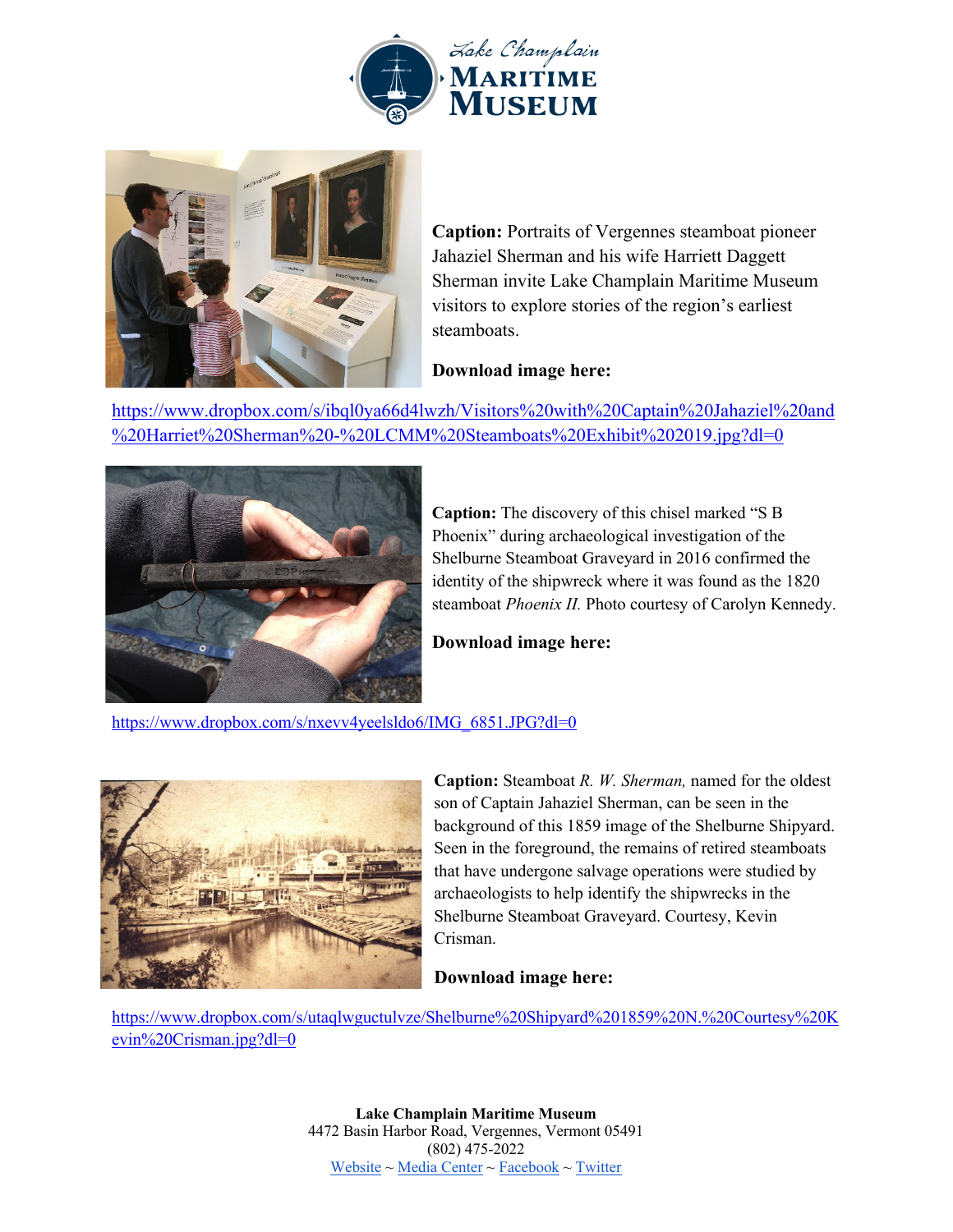



**Caption:** Portraits of Vergennes steamboat pioneer Jahaziel Sherman and his wife Harriett Daggett Sherman invite Lake Champlain Maritime Museum visitors to explore stories of the region's earliest steamboats.

### **Download image here:**

https://www.dropbox.com/s/ibql0ya66d4lwzh/Visitors%20with%20Captain%20Jahaziel%20and %20Harriet%20Sherman%20-%20LCMM%20Steamboats%20Exhibit%202019.jpg?dl=0



**Caption:** The discovery of this chisel marked "S B Phoenix" during archaeological investigation of the Shelburne Steamboat Graveyard in 2016 confirmed the identity of the shipwreck where it was found as the 1820 steamboat *Phoenix II.* Photo courtesy of Carolyn Kennedy.

**Download image here:**

https://www.dropbox.com/s/nxevv4yeelsldo6/IMG\_6851.JPG?dl=0



**Caption:** Steamboat *R. W. Sherman,* named for the oldest son of Captain Jahaziel Sherman, can be seen in the background of this 1859 image of the Shelburne Shipyard. Seen in the foreground, the remains of retired steamboats that have undergone salvage operations were studied by archaeologists to help identify the shipwrecks in the Shelburne Steamboat Graveyard. Courtesy, Kevin Crisman.

# **Download image here:**

https://www.dropbox.com/s/utaqlwguctulvze/Shelburne%20Shipyard%201859%20N.%20Courtesy%20K evin%20Crisman.jpg?dl=0